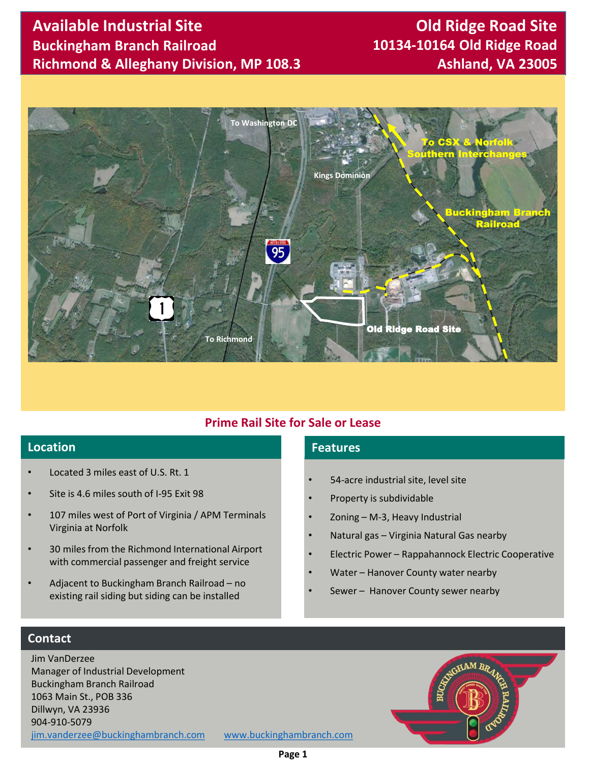## **Available Industrial Site Buckingham Branch Railroad Richmond & Alleghany Division, MP 108.3**

# **Old Ridge Road Site 10134-10164 Old Ridge Road Ashland, VA 23005**



### **Prime Rail Site for Sale or Lease**

## **Location Features**

- Located 3 miles east of U.S. Rt. 1
- Site is 4.6 miles south of I-95 Exit 98
- 107 miles west of Port of Virginia / APM Terminals Virginia at Norfolk
- 30 miles from the Richmond International Airport with commercial passenger and freight service
- Adjacent to Buckingham Branch Railroad no existing rail siding but siding can be installed

- 54-acre industrial site, level site
- Property is subdividable
- Zoning M-3, Heavy Industrial
- Natural gas Virginia Natural Gas nearby
- Electric Power Rappahannock Electric Cooperative
- Water Hanover County water nearby
- Sewer Hanover County sewer nearby

#### **Contact**

Jim VanDerzee Manager of Industrial Development Buckingham Branch Railroad 1063 Main St., POB 336 Dillwyn, VA 23936 904-910-5079 [jim.vanderzee@buckinghambranch.com](mailto:jim.vanderzee@buckinghambranch.com) [www.buckinghambranch.com](http://www.buckinghambranch.com/)